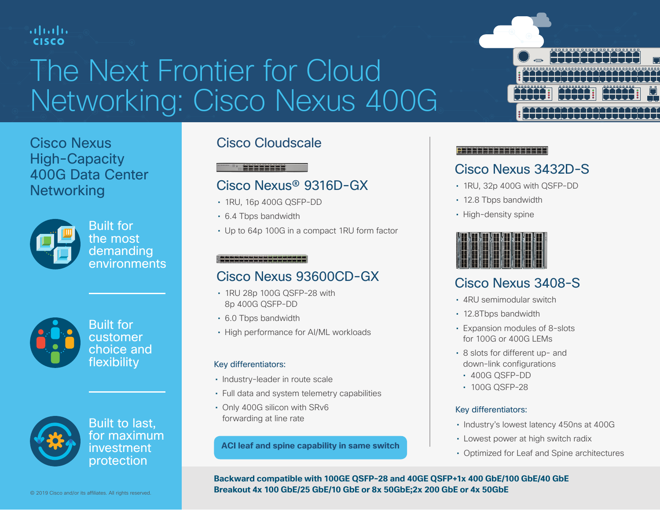### ahah **CISCO**

# The Next Frontier for Cloud Networking: Cisco Nexus 400G

Cisco Nexus High-Capacity 400G Data Center **Networking** 



Built for the most **demanding** environments



Built for customer choice and flexibility



Built to last, for maximum investment protection

### Cisco Cloudscale

#### <u> Tagastasta</u>

### Cisco Nexus® 9316D-GX

- 1RU, 16p 400G QSFP-DD
- 6.4 Tbps bandwidth
- Up to 64p 100G in a compact 1RU form factor

### Cisco Nexus 93600CD-GX

- 1RU 28p 100G QSFP-28 with 8p 400G QSFP-DD
- 6.0 Tbps bandwidth
- High performance for AI/ML workloads

#### Key differentiators:

- Industry-leader in route scale
- Full data and system telemetry capabilities
- Only 400G silicon with SRv6 forwarding at line rate

#### **ACI leaf and spine capability in same switch**



#### 

### Cisco Nexus 3432D-S

- 1RU, 32p 400G with QSFP-DD
- 12.8 Tbps bandwidth
- High-density spine



## Cisco Nexus 3408-S

- 4RU semimodular switch
- 12.8Tbps bandwidth
- Expansion modules of 8-slots for 100G or 400G LEMs
- 8 slots for different up- and down-link configurations
	- 400G QSFP-DD
	- 100G QSFP-28

#### Key differentiators:

- Industry's lowest latency 450ns at 400G
- Lowest power at high switch radix
- Optimized for Leaf and Spine architectures

**Backward compatible with 100GE QSFP-28 and 40GE QSFP+1x 400 GbE/100 GbE/40 GbE Breakout 4x 100 GbE/25 GbE/10 GbE or 8x 50GbE;2x 200 GbE or 4x 50GbE**